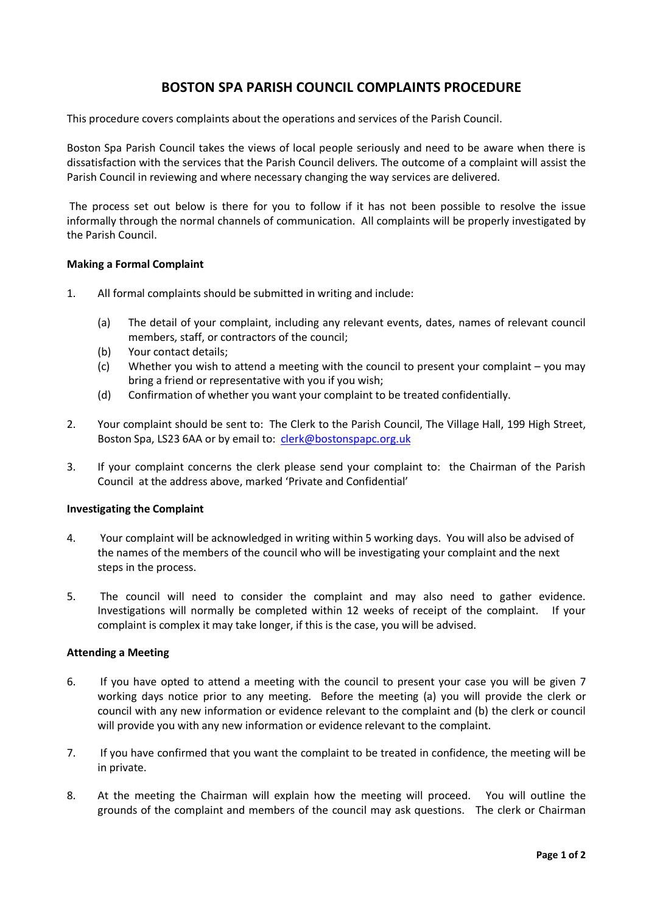# **BOSTON SPA PARISH COUNCIL COMPLAINTS PROCEDURE**

This procedure covers complaints about the operations and services of the Parish Council.

Boston Spa Parish Council takes the views of local people seriously and need to be aware when there is dissatisfaction with the services that the Parish Council delivers. The outcome of a complaint will assist the Parish Council in reviewing and where necessary changing the way services are delivered.

The process set out below is there for you to follow if it has not been possible to resolve the issue informally through the normal channels of communication. All complaints will be properly investigated by the Parish Council.

## **Making a Formal Complaint**

- 1. All formal complaints should be submitted in writing and include:
	- (a) The detail of your complaint, including any relevant events, dates, names of relevant council members, staff, or contractors of the council;
	- (b) Your contact details;
	- (c) Whether you wish to attend a meeting with the council to present your complaint you may bring a friend or representative with you if you wish;
	- (d) Confirmation of whether you want your complaint to be treated confidentially.
- 2. Your complaint should be sent to: The Clerk to the Parish Council, The Village Hall, 199 High Street, Boston Spa, LS23 6AA or by email to: clerk@bostonspapc.org.uk
- 3. If your complaint concerns the clerk please send your complaint to: the Chairman of the Parish Council at the address above, marked 'Private and Confidential'

#### **Investigating the Complaint**

- 4. Your complaint will be acknowledged in writing within 5 working days. You will also be advised of the names of the members of the council who will be investigating your complaint and the next steps in the process.
- 5. The council will need to consider the complaint and may also need to gather evidence. Investigations will normally be completed within 12 weeks of receipt of the complaint. If your complaint is complex it may take longer, if this is the case, you will be advised.

#### **Attending a Meeting**

- 6. If you have opted to attend a meeting with the council to present your case you will be given 7 working days notice prior to any meeting. Before the meeting (a) you will provide the clerk or council with any new information or evidence relevant to the complaint and (b) the clerk or council will provide you with any new information or evidence relevant to the complaint.
- 7. If you have confirmed that you want the complaint to be treated in confidence, the meeting will be in private.
- 8. At the meeting the Chairman will explain how the meeting will proceed. You will outline the grounds of the complaint and members of the council may ask questions. The clerk or Chairman